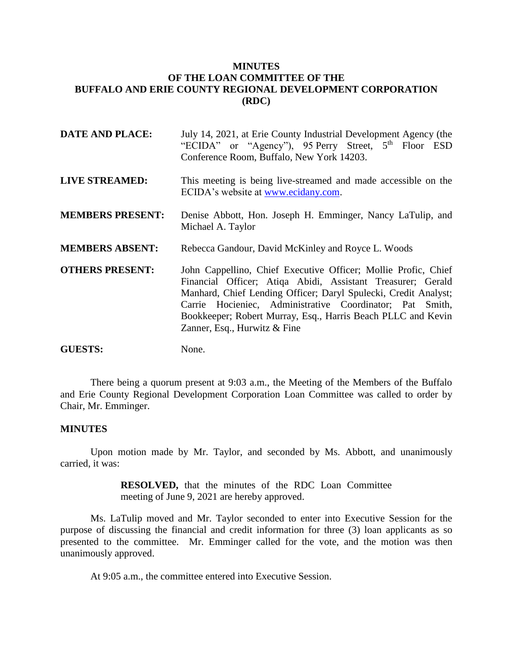# **MINUTES OF THE LOAN COMMITTEE OF THE BUFFALO AND ERIE COUNTY REGIONAL DEVELOPMENT CORPORATION (RDC)**

| <b>DATE AND PLACE:</b>  | July 14, 2021, at Erie County Industrial Development Agency (the<br>"ECIDA" or "Agency"), 95 Perry Street, 5 <sup>th</sup> Floor ESD<br>Conference Room, Buffalo, New York 14203.                                                                                                                                                                            |
|-------------------------|--------------------------------------------------------------------------------------------------------------------------------------------------------------------------------------------------------------------------------------------------------------------------------------------------------------------------------------------------------------|
| <b>LIVE STREAMED:</b>   | This meeting is being live-streamed and made accessible on the<br>ECIDA's website at www.ecidany.com.                                                                                                                                                                                                                                                        |
| <b>MEMBERS PRESENT:</b> | Denise Abbott, Hon. Joseph H. Emminger, Nancy LaTulip, and<br>Michael A. Taylor                                                                                                                                                                                                                                                                              |
| <b>MEMBERS ABSENT:</b>  | Rebecca Gandour, David McKinley and Royce L. Woods                                                                                                                                                                                                                                                                                                           |
| <b>OTHERS PRESENT:</b>  | John Cappellino, Chief Executive Officer; Mollie Profic, Chief<br>Financial Officer; Atiqa Abidi, Assistant Treasurer; Gerald<br>Manhard, Chief Lending Officer; Daryl Spulecki, Credit Analyst;<br>Carrie Hocieniec, Administrative Coordinator; Pat Smith,<br>Bookkeeper; Robert Murray, Esq., Harris Beach PLLC and Kevin<br>Zanner, Esq., Hurwitz & Fine |
| <b>GUESTS:</b>          | None.                                                                                                                                                                                                                                                                                                                                                        |

There being a quorum present at 9:03 a.m., the Meeting of the Members of the Buffalo and Erie County Regional Development Corporation Loan Committee was called to order by Chair, Mr. Emminger.

## **MINUTES**

Upon motion made by Mr. Taylor, and seconded by Ms. Abbott, and unanimously carried, it was:

> **RESOLVED,** that the minutes of the RDC Loan Committee meeting of June 9, 2021 are hereby approved.

Ms. LaTulip moved and Mr. Taylor seconded to enter into Executive Session for the purpose of discussing the financial and credit information for three (3) loan applicants as so presented to the committee. Mr. Emminger called for the vote, and the motion was then unanimously approved.

At 9:05 a.m., the committee entered into Executive Session.